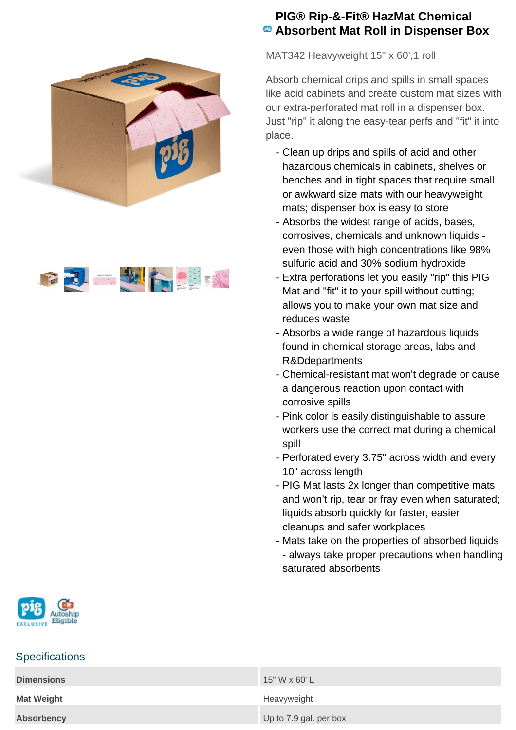



## **PIG® Rip-&-Fit® HazMat Chemical Absorbent Mat Roll in Dispenser Box**

MAT342 Heavyweight,15" x 60',1 roll

Absorb chemical drips and spills in small spaces like acid cabinets and create custom mat sizes with our extra-perforated mat roll in a dispenser box. Just "rip" it along the easy-tear perfs and "fit" it into place.

- Clean up drips and spills of acid and other hazardous chemicals in cabinets, shelves or benches and in tight spaces that require small or awkward size mats with our heavyweight mats; dispenser box is easy to store
- Absorbs the widest range of acids, bases, corrosives, chemicals and unknown liquids even those with high concentrations like 98% sulfuric acid and 30% sodium hydroxide
- Extra perforations let you easily "rip" this PIG Mat and "fit" it to your spill without cutting; allows you to make your own mat size and reduces waste
- Absorbs a wide range of hazardous liquids found in chemical storage areas, labs and R&Ddepartments
- Chemical-resistant mat won't degrade or cause a dangerous reaction upon contact with corrosive spills
- Pink color is easily distinguishable to assure workers use the correct mat during a chemical spill
- Perforated every 3.75" across width and every 10" across length
- PIG Mat lasts 2x longer than competitive mats and won't rip, tear or fray even when saturated; liquids absorb quickly for faster, easier cleanups and safer workplaces
- Mats take on the properties of absorbed liquids - always take proper precautions when handling saturated absorbents



## **Specifications**

| <b>Dimensions</b> | 15" W x 60' L          |
|-------------------|------------------------|
| <b>Mat Weight</b> | Heavyweight            |
| <b>Absorbency</b> | Up to 7.9 gal. per box |